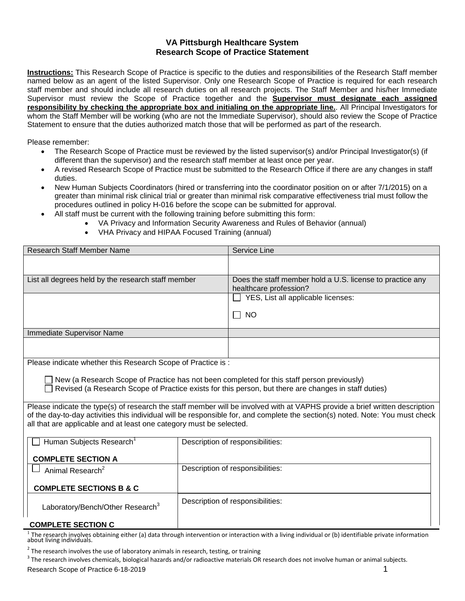#### **VA Pittsburgh Healthcare System Research Scope of Practice Statement**

**Instructions:** This Research Scope of Practice is specific to the duties and responsibilities of the Research Staff member named below as an agent of the listed Supervisor. Only one Research Scope of Practice is required for each research staff member and should include all research duties on all research projects. The Staff Member and his/her Immediate Supervisor must review the Scope of Practice together and the **Supervisor must designate each assigned responsibility by checking the appropriate box and initialing on the appropriate line.**. All Principal Investigators for whom the Staff Member will be working (who are not the Immediate Supervisor), should also review the Scope of Practice Statement to ensure that the duties authorized match those that will be performed as part of the research.

Please remember:

- The Research Scope of Practice must be reviewed by the listed supervisor(s) and/or Principal Investigator(s) (if different than the supervisor) and the research staff member at least once per year.
- A revised Research Scope of Practice must be submitted to the Research Office if there are any changes in staff duties.
- New Human Subjects Coordinators (hired or transferring into the coordinator position on or after 7/1/2015) on a greater than minimal risk clinical trial or greater than minimal risk comparative effectiveness trial must follow the procedures outlined in policy H-016 before the scope can be submitted for approval.
	- All staff must be current with the following training before submitting this form:
		- VA Privacy and Information Security Awareness and Rules of Behavior (annual)
		- VHA Privacy and HIPAA Focused Training (annual)

| <b>Research Staff Member Name</b>                                                                                                                                                                                                                                                                                                   |                                  | Service Line                                                                        |
|-------------------------------------------------------------------------------------------------------------------------------------------------------------------------------------------------------------------------------------------------------------------------------------------------------------------------------------|----------------------------------|-------------------------------------------------------------------------------------|
|                                                                                                                                                                                                                                                                                                                                     |                                  |                                                                                     |
| List all degrees held by the research staff member                                                                                                                                                                                                                                                                                  |                                  | Does the staff member hold a U.S. license to practice any<br>healthcare profession? |
|                                                                                                                                                                                                                                                                                                                                     |                                  | YES, List all applicable licenses:                                                  |
|                                                                                                                                                                                                                                                                                                                                     |                                  | <b>NO</b><br>$\mathsf{L}$                                                           |
| Immediate Supervisor Name                                                                                                                                                                                                                                                                                                           |                                  |                                                                                     |
|                                                                                                                                                                                                                                                                                                                                     |                                  |                                                                                     |
| Please indicate whether this Research Scope of Practice is :                                                                                                                                                                                                                                                                        |                                  |                                                                                     |
| New (a Research Scope of Practice has not been completed for this staff person previously)<br>Revised (a Research Scope of Practice exists for this person, but there are changes in staff duties)                                                                                                                                  |                                  |                                                                                     |
| Please indicate the type(s) of research the staff member will be involved with at VAPHS provide a brief written description<br>of the day-to-day activities this individual will be responsible for, and complete the section(s) noted. Note: You must check<br>all that are applicable and at least one category must be selected. |                                  |                                                                                     |
| Human Subjects Research <sup>1</sup>                                                                                                                                                                                                                                                                                                |                                  | Description of responsibilities:                                                    |
| <b>COMPLETE SECTION A</b>                                                                                                                                                                                                                                                                                                           |                                  |                                                                                     |
| Animal Research <sup>2</sup>                                                                                                                                                                                                                                                                                                        | Description of responsibilities: |                                                                                     |
| <b>COMPLETE SECTIONS B &amp; C</b>                                                                                                                                                                                                                                                                                                  |                                  |                                                                                     |
| Laboratory/Bench/Other Research <sup>3</sup>                                                                                                                                                                                                                                                                                        | Description of responsibilities: |                                                                                     |
| <b>COMPLETE SECTION C</b>                                                                                                                                                                                                                                                                                                           |                                  |                                                                                     |

<sup>1</sup> The research involves obtaining either (a) data through intervention or interaction with a living individual or (b) identifiable private information<br>about living individuals.

 $^2$  The research involves the use of laboratory animals in research, testing, or training

 $^3$  The research involves chemicals, biological hazards and/or radioactive materials OR research does not involve human or animal subjects. Research Scope of Practice 6-18-2019 1 200 1 200 1 200 1 200 1 200 1 200 1 200 1 200 1 200 1 200 1 200 1 200 1 200 1 200 1 200 1 200 1 200 1 200 1 200 1 200 1 200 1 200 1 200 1 200 1 200 1 200 1 200 1 200 1 200 1 200 1 200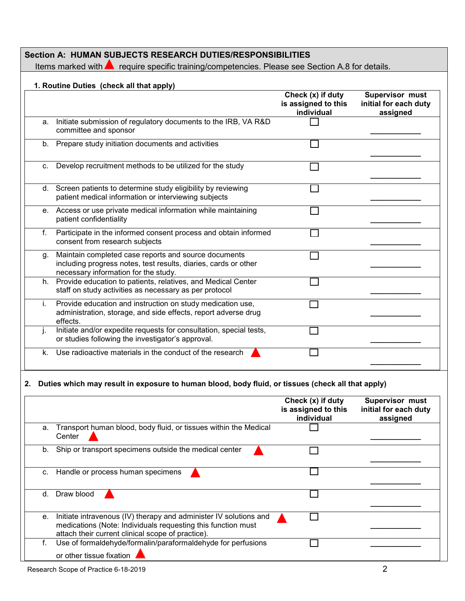| Section A: HUMAN SUBJECTS RESEARCH DUTIES/RESPONSIBILITIES |                                                                             |  |  |
|------------------------------------------------------------|-----------------------------------------------------------------------------|--|--|
| Items marked with $\blacksquare$                           | require specific training/competencies. Please see Section A.8 for details. |  |  |

### **1. Routine Duties (check all that apply)**

|         |                                                                                                                                                                 | Check (x) if duty<br>is assigned to this<br>individual | Supervisor must<br>initial for each duty<br>assigned |
|---------|-----------------------------------------------------------------------------------------------------------------------------------------------------------------|--------------------------------------------------------|------------------------------------------------------|
| a.      | Initiate submission of regulatory documents to the IRB, VA R&D<br>committee and sponsor                                                                         |                                                        |                                                      |
| b.      | Prepare study initiation documents and activities                                                                                                               |                                                        |                                                      |
| $C_{1}$ | Develop recruitment methods to be utilized for the study                                                                                                        |                                                        |                                                      |
|         | d. Screen patients to determine study eligibility by reviewing<br>patient medical information or interviewing subjects                                          |                                                        |                                                      |
| e.      | Access or use private medical information while maintaining<br>patient confidentiality                                                                          |                                                        |                                                      |
| f.      | Participate in the informed consent process and obtain informed<br>consent from research subjects                                                               |                                                        |                                                      |
| g.      | Maintain completed case reports and source documents<br>including progress notes, test results, diaries, cards or other<br>necessary information for the study. |                                                        |                                                      |
| h.      | Provide education to patients, relatives, and Medical Center<br>staff on study activities as necessary as per protocol                                          |                                                        |                                                      |
| i.      | Provide education and instruction on study medication use,<br>administration, storage, and side effects, report adverse drug<br>effects.                        |                                                        |                                                      |
|         | Initiate and/or expedite requests for consultation, special tests,<br>or studies following the investigator's approval.                                         |                                                        |                                                      |
| k.      | Use radioactive materials in the conduct of the research                                                                                                        |                                                        |                                                      |

## **2. Duties which may result in exposure to human blood, body fluid, or tissues (check all that apply)**

|    |                                                                                                                                                                                        | Check (x) if duty<br>is assigned to this<br>individual | <b>Supervisor must</b><br>initial for each duty<br>assigned |
|----|----------------------------------------------------------------------------------------------------------------------------------------------------------------------------------------|--------------------------------------------------------|-------------------------------------------------------------|
| a. | Transport human blood, body fluid, or tissues within the Medical<br>Center                                                                                                             |                                                        |                                                             |
| b. | Ship or transport specimens outside the medical center                                                                                                                                 |                                                        |                                                             |
| C. | Handle or process human specimens                                                                                                                                                      |                                                        |                                                             |
| d. | Draw blood                                                                                                                                                                             |                                                        |                                                             |
| е. | Initiate intravenous (IV) therapy and administer IV solutions and<br>medications (Note: Individuals requesting this function must<br>attach their current clinical scope of practice). |                                                        |                                                             |
| f. | Use of formaldehyde/formalin/paraformaldehyde for perfusions<br>or other tissue fixation                                                                                               |                                                        |                                                             |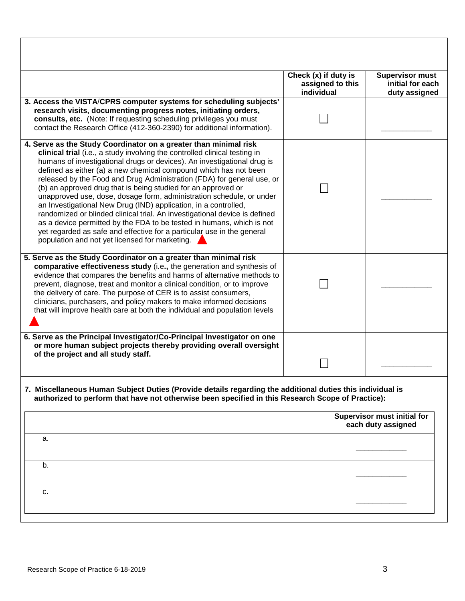|                                                                                                                                                                                                                                                                                                                                                                                                                                                                                                                                                                                                                                                                                                                                                                                                                                                                        | Check (x) if duty is<br>assigned to this<br>individual | <b>Supervisor must</b><br>initial for each<br>duty assigned |
|------------------------------------------------------------------------------------------------------------------------------------------------------------------------------------------------------------------------------------------------------------------------------------------------------------------------------------------------------------------------------------------------------------------------------------------------------------------------------------------------------------------------------------------------------------------------------------------------------------------------------------------------------------------------------------------------------------------------------------------------------------------------------------------------------------------------------------------------------------------------|--------------------------------------------------------|-------------------------------------------------------------|
| 3. Access the VISTA/CPRS computer systems for scheduling subjects'<br>research visits, documenting progress notes, initiating orders,<br>consults, etc. (Note: If requesting scheduling privileges you must<br>contact the Research Office (412-360-2390) for additional information).                                                                                                                                                                                                                                                                                                                                                                                                                                                                                                                                                                                 |                                                        |                                                             |
| 4. Serve as the Study Coordinator on a greater than minimal risk<br>clinical trial (i.e., a study involving the controlled clinical testing in<br>humans of investigational drugs or devices). An investigational drug is<br>defined as either (a) a new chemical compound which has not been<br>released by the Food and Drug Administration (FDA) for general use, or<br>(b) an approved drug that is being studied for an approved or<br>unapproved use, dose, dosage form, administration schedule, or under<br>an Investigational New Drug (IND) application, in a controlled,<br>randomized or blinded clinical trial. An investigational device is defined<br>as a device permitted by the FDA to be tested in humans, which is not<br>yet regarded as safe and effective for a particular use in the general<br>population and not yet licensed for marketing. |                                                        |                                                             |
| 5. Serve as the Study Coordinator on a greater than minimal risk<br>comparative effectiveness study (i.e., the generation and synthesis of<br>evidence that compares the benefits and harms of alternative methods to<br>prevent, diagnose, treat and monitor a clinical condition, or to improve<br>the delivery of care. The purpose of CER is to assist consumers,<br>clinicians, purchasers, and policy makers to make informed decisions<br>that will improve health care at both the individual and population levels                                                                                                                                                                                                                                                                                                                                            |                                                        |                                                             |
| 6. Serve as the Principal Investigator/Co-Principal Investigator on one<br>or more human subject projects thereby providing overall oversight<br>of the project and all study staff.                                                                                                                                                                                                                                                                                                                                                                                                                                                                                                                                                                                                                                                                                   |                                                        |                                                             |
| 7.  Miscellaneous Human Subject Duties (Provide details regarding the additional duties this individual is<br>authorized to perform that have not otherwise been specified in this Research Scope of Practice):                                                                                                                                                                                                                                                                                                                                                                                                                                                                                                                                                                                                                                                        |                                                        |                                                             |
|                                                                                                                                                                                                                                                                                                                                                                                                                                                                                                                                                                                                                                                                                                                                                                                                                                                                        |                                                        | <b>Supervisor must initial for</b><br>each duty assigned    |
| a.                                                                                                                                                                                                                                                                                                                                                                                                                                                                                                                                                                                                                                                                                                                                                                                                                                                                     |                                                        |                                                             |
| b.                                                                                                                                                                                                                                                                                                                                                                                                                                                                                                                                                                                                                                                                                                                                                                                                                                                                     |                                                        |                                                             |
| c.                                                                                                                                                                                                                                                                                                                                                                                                                                                                                                                                                                                                                                                                                                                                                                                                                                                                     |                                                        |                                                             |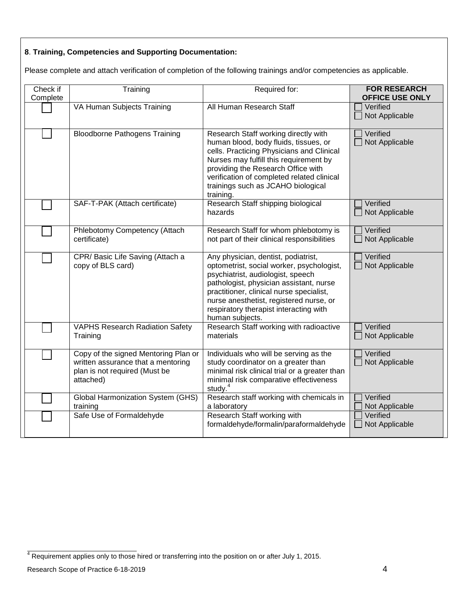## **8**. **Training, Competencies and Supporting Documentation:**

Please complete and attach verification of completion of the following trainings and/or competencies as applicable.

| Check if<br>Complete | Training                                                                                                                 | Required for:                                                                                                                                                                                                                                                                                                        | <b>FOR RESEARCH</b><br><b>OFFICE USE ONLY</b> |
|----------------------|--------------------------------------------------------------------------------------------------------------------------|----------------------------------------------------------------------------------------------------------------------------------------------------------------------------------------------------------------------------------------------------------------------------------------------------------------------|-----------------------------------------------|
|                      | VA Human Subjects Training                                                                                               | All Human Research Staff                                                                                                                                                                                                                                                                                             | Verified<br>Not Applicable                    |
|                      | <b>Bloodborne Pathogens Training</b>                                                                                     | Research Staff working directly with<br>human blood, body fluids, tissues, or<br>cells. Practicing Physicians and Clinical<br>Nurses may fulfill this requirement by<br>providing the Research Office with<br>verification of completed related clinical<br>trainings such as JCAHO biological<br>training.          | Verified<br>Not Applicable                    |
|                      | SAF-T-PAK (Attach certificate)                                                                                           | Research Staff shipping biological<br>hazards                                                                                                                                                                                                                                                                        | Verified<br>Not Applicable                    |
|                      | Phlebotomy Competency (Attach<br>certificate)                                                                            | Research Staff for whom phlebotomy is<br>not part of their clinical responsibilities                                                                                                                                                                                                                                 | Verified<br>Not Applicable                    |
|                      | CPR/Basic Life Saving (Attach a<br>copy of BLS card)                                                                     | Any physician, dentist, podiatrist,<br>optometrist, social worker, psychologist,<br>psychiatrist, audiologist, speech<br>pathologist, physician assistant, nurse<br>practitioner, clinical nurse specialist,<br>nurse anesthetist, registered nurse, or<br>respiratory therapist interacting with<br>human subjects. | Verified<br>Not Applicable                    |
|                      | <b>VAPHS Research Radiation Safety</b><br>Training                                                                       | Research Staff working with radioactive<br>materials                                                                                                                                                                                                                                                                 | Verified<br>Not Applicable                    |
|                      | Copy of the signed Mentoring Plan or<br>written assurance that a mentoring<br>plan is not required (Must be<br>attached) | Individuals who will be serving as the<br>study coordinator on a greater than<br>minimal risk clinical trial or a greater than<br>minimal risk comparative effectiveness<br>study. $4$                                                                                                                               | Verified<br>Not Applicable                    |
|                      | <b>Global Harmonization System (GHS)</b><br>training                                                                     | Research staff working with chemicals in<br>a laboratory                                                                                                                                                                                                                                                             | Verified<br>Not Applicable                    |
|                      | Safe Use of Formaldehyde                                                                                                 | Research Staff working with<br>formaldehyde/formalin/paraformaldehyde                                                                                                                                                                                                                                                | Verified<br>Not Applicable                    |

 $4$  Requirement applies only to those hired or transferring into the position on or after July 1, 2015.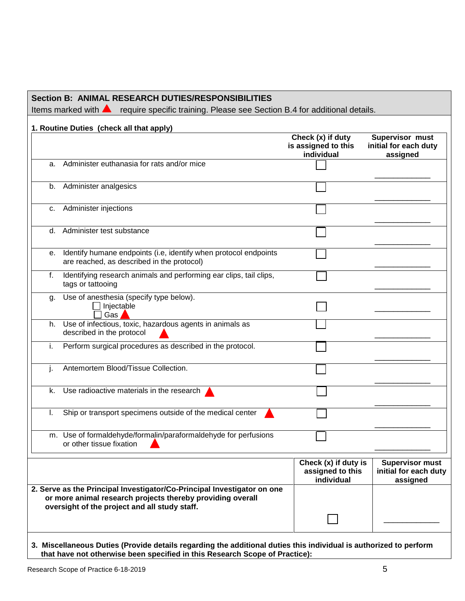## **Section B: ANIMAL RESEARCH DUTIES/RESPONSIBILITIES**

Items marked with **A** require specific training. Please see Section B.4 for additional details.

|    | 1. Routine Duties (check all that apply)                                                                                                                                               | Check (x) if duty<br>is assigned to this<br>individual | Supervisor must<br>initial for each duty<br>assigned        |
|----|----------------------------------------------------------------------------------------------------------------------------------------------------------------------------------------|--------------------------------------------------------|-------------------------------------------------------------|
| a. | Administer euthanasia for rats and/or mice                                                                                                                                             |                                                        |                                                             |
| b. | Administer analgesics                                                                                                                                                                  |                                                        |                                                             |
| С. | Administer injections                                                                                                                                                                  |                                                        |                                                             |
| d. | Administer test substance                                                                                                                                                              |                                                        |                                                             |
| е. | Identify humane endpoints (i.e, identify when protocol endpoints<br>are reached, as described in the protocol)                                                                         |                                                        |                                                             |
| f. | Identifying research animals and performing ear clips, tail clips,<br>tags or tattooing                                                                                                |                                                        |                                                             |
| g. | Use of anesthesia (specify type below).<br>Injectable<br>Gas                                                                                                                           |                                                        |                                                             |
| h. | Use of infectious, toxic, hazardous agents in animals as<br>described in the protocol                                                                                                  |                                                        |                                                             |
| i. | Perform surgical procedures as described in the protocol.                                                                                                                              |                                                        |                                                             |
|    | Antemortem Blood/Tissue Collection.                                                                                                                                                    |                                                        |                                                             |
| k. | Use radioactive materials in the research                                                                                                                                              |                                                        |                                                             |
|    | Ship or transport specimens outside of the medical center                                                                                                                              |                                                        |                                                             |
|    | m. Use of formaldehyde/formalin/paraformaldehyde for perfusions<br>or other tissue fixation                                                                                            |                                                        |                                                             |
|    |                                                                                                                                                                                        | Check (x) if duty is<br>assigned to this<br>individual | <b>Supervisor must</b><br>initial for each duty<br>assigned |
|    | 2. Serve as the Principal Investigator/Co-Principal Investigator on one<br>or more animal research projects thereby providing overall<br>oversight of the project and all study staff. |                                                        |                                                             |
|    |                                                                                                                                                                                        |                                                        |                                                             |

#### **3. Miscellaneous Duties (Provide details regarding the additional duties this individual is authorized to perform that have not otherwise been specified in this Research Scope of Practice):**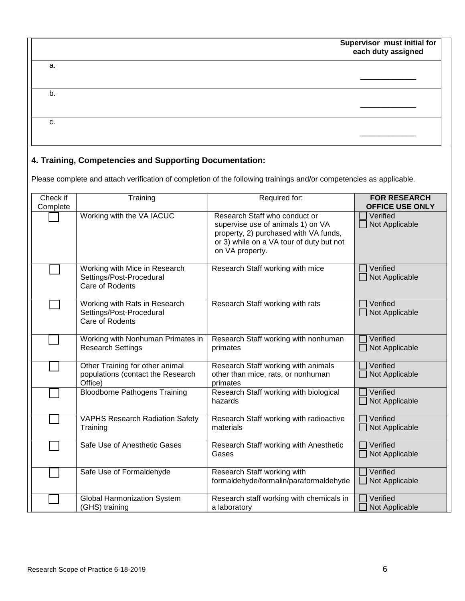| Supervisor must initial for |
|-----------------------------|
| each duty assigned          |

|    | . .<br>each duty assigned |
|----|---------------------------|
| a. |                           |
|    |                           |
| b. |                           |
|    |                           |
| c. |                           |
|    |                           |

## **4. Training, Competencies and Supporting Documentation:**

Please complete and attach verification of completion of the following trainings and/or competencies as applicable.

| Check if<br>Complete | Training                                                                        | Required for:                                                                                                                                                              | <b>FOR RESEARCH</b><br><b>OFFICE USE ONLY</b> |
|----------------------|---------------------------------------------------------------------------------|----------------------------------------------------------------------------------------------------------------------------------------------------------------------------|-----------------------------------------------|
|                      | Working with the VA IACUC                                                       | Research Staff who conduct or<br>supervise use of animals 1) on VA<br>property, 2) purchased with VA funds,<br>or 3) while on a VA tour of duty but not<br>on VA property. | Verified<br>Not Applicable                    |
|                      | Working with Mice in Research<br>Settings/Post-Procedural<br>Care of Rodents    | Research Staff working with mice                                                                                                                                           | Verified<br>Not Applicable                    |
|                      | Working with Rats in Research<br>Settings/Post-Procedural<br>Care of Rodents    | Research Staff working with rats                                                                                                                                           | Verified<br>Not Applicable                    |
|                      | Working with Nonhuman Primates in<br><b>Research Settings</b>                   | Research Staff working with nonhuman<br>primates                                                                                                                           | Verified<br>Not Applicable                    |
|                      | Other Training for other animal<br>populations (contact the Research<br>Office) | Research Staff working with animals<br>other than mice, rats, or nonhuman<br>primates                                                                                      | Verified<br>Not Applicable                    |
|                      | <b>Bloodborne Pathogens Training</b>                                            | Research Staff working with biological<br>hazards                                                                                                                          | Verified<br>Not Applicable                    |
|                      | <b>VAPHS Research Radiation Safety</b><br>Training                              | Research Staff working with radioactive<br>materials                                                                                                                       | Verified<br>Not Applicable                    |
|                      | Safe Use of Anesthetic Gases                                                    | Research Staff working with Anesthetic<br>Gases                                                                                                                            | Verified<br>Not Applicable                    |
|                      | Safe Use of Formaldehyde                                                        | Research Staff working with<br>formaldehyde/formalin/paraformaldehyde                                                                                                      | Verified<br>Not Applicable                    |
|                      | <b>Global Harmonization System</b><br>(GHS) training                            | Research staff working with chemicals in<br>a laboratory                                                                                                                   | Verified<br>Not Applicable                    |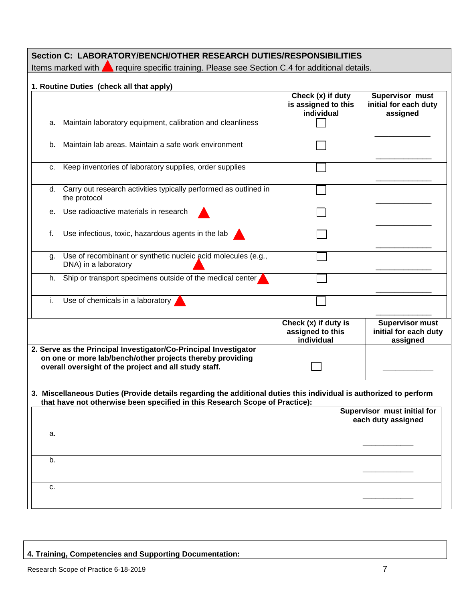| Section C: LABORATORY/BENCH/OTHER RESEARCH DUTIES/RESPONSIBILITIES<br>Items marked with <b>A</b> require specific training. Please see Section C.4 for additional details.                       |                                                        |                                                             |  |  |
|--------------------------------------------------------------------------------------------------------------------------------------------------------------------------------------------------|--------------------------------------------------------|-------------------------------------------------------------|--|--|
| 1. Routine Duties (check all that apply)                                                                                                                                                         |                                                        |                                                             |  |  |
|                                                                                                                                                                                                  | Check (x) if duty<br>is assigned to this<br>individual | Supervisor must<br>initial for each duty<br>assigned        |  |  |
| Maintain laboratory equipment, calibration and cleanliness<br>a.                                                                                                                                 |                                                        |                                                             |  |  |
| Maintain lab areas. Maintain a safe work environment<br>b.                                                                                                                                       |                                                        |                                                             |  |  |
| Keep inventories of laboratory supplies, order supplies<br>C.                                                                                                                                    |                                                        |                                                             |  |  |
| Carry out research activities typically performed as outlined in<br>d.<br>the protocol                                                                                                           |                                                        |                                                             |  |  |
| Use radioactive materials in research<br>$e_{1}$                                                                                                                                                 |                                                        |                                                             |  |  |
| f.<br>Use infectious, toxic, hazardous agents in the lab                                                                                                                                         |                                                        |                                                             |  |  |
| Use of recombinant or synthetic nucleic acid molecules (e.g.,<br>g.<br>DNA) in a laboratory                                                                                                      |                                                        |                                                             |  |  |
| Ship or transport specimens outside of the medical center<br>h.                                                                                                                                  |                                                        |                                                             |  |  |
| Use of chemicals in a laboratory<br>i.                                                                                                                                                           |                                                        |                                                             |  |  |
|                                                                                                                                                                                                  | Check (x) if duty is<br>assigned to this<br>individual | <b>Supervisor must</b><br>initial for each duty<br>assigned |  |  |
| 2. Serve as the Principal Investigator/Co-Principal Investigator<br>on one or more lab/bench/other projects thereby providing<br>overall oversight of the project and all study staff.           |                                                        |                                                             |  |  |
| 3. Miscellaneous Duties (Provide details regarding the additional duties this individual is authorized to perform<br>that have not otherwise been specified in this Research Scope of Practice): |                                                        |                                                             |  |  |
|                                                                                                                                                                                                  |                                                        | Supervisor must initial for<br>each duty assigned           |  |  |
| а.                                                                                                                                                                                               |                                                        |                                                             |  |  |
| b.                                                                                                                                                                                               |                                                        |                                                             |  |  |
| c.                                                                                                                                                                                               |                                                        |                                                             |  |  |
|                                                                                                                                                                                                  |                                                        |                                                             |  |  |

# **4. Training, Competencies and Supporting Documentation:**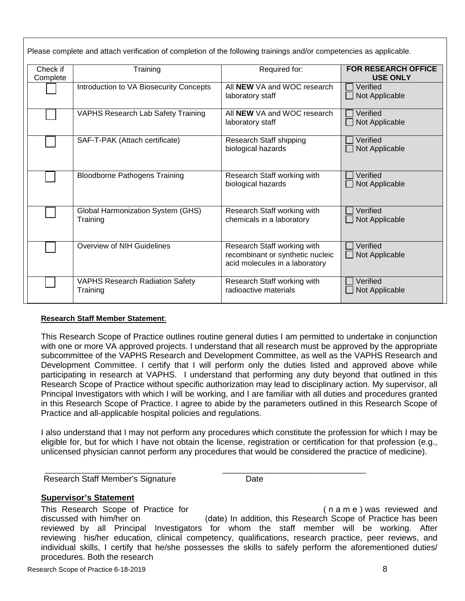Please complete and attach verification of completion of the following trainings and/or competencies as applicable.

| Check if<br>Complete | Training                                             | Required for:                                                                                     | <b>FOR RESEARCH OFFICE</b><br><b>USE ONLY</b> |
|----------------------|------------------------------------------------------|---------------------------------------------------------------------------------------------------|-----------------------------------------------|
|                      | Introduction to VA Biosecurity Concepts              | All NEW VA and WOC research<br>laboratory staff                                                   | Verified<br>Not Applicable                    |
|                      | <b>VAPHS Research Lab Safety Training</b>            | All <b>NEW</b> VA and WOC research<br>laboratory staff                                            | Verified<br>Not Applicable                    |
|                      | SAF-T-PAK (Attach certificate)                       | Research Staff shipping<br>biological hazards                                                     | Verified<br>Not Applicable                    |
|                      | <b>Bloodborne Pathogens Training</b>                 | Research Staff working with<br>biological hazards                                                 | Verified<br>Not Applicable                    |
|                      | <b>Global Harmonization System (GHS)</b><br>Training | Research Staff working with<br>chemicals in a laboratory                                          | Verified<br>Not Applicable                    |
|                      | Overview of NIH Guidelines                           | Research Staff working with<br>recombinant or synthetic nucleic<br>acid molecules in a laboratory | Verified<br>Not Applicable                    |
|                      | <b>VAPHS Research Radiation Safety</b><br>Training   | Research Staff working with<br>radioactive materials                                              | Verified<br>Not Applicable                    |

#### **Research Staff Member Statement**:

This Research Scope of Practice outlines routine general duties I am permitted to undertake in conjunction with one or more VA approved projects. I understand that all research must be approved by the appropriate subcommittee of the VAPHS Research and Development Committee, as well as the VAPHS Research and Development Committee. I certify that I will perform only the duties listed and approved above while participating in research at VAPHS. I understand that performing any duty beyond that outlined in this Research Scope of Practice without specific authorization may lead to disciplinary action. My supervisor, all Principal Investigators with which I will be working, and I are familiar with all duties and procedures granted in this Research Scope of Practice. I agree to abide by the parameters outlined in this Research Scope of Practice and all-applicable hospital policies and regulations.

I also understand that I may not perform any procedures which constitute the profession for which I may be eligible for, but for which I have not obtain the license, registration or certification for that profession (e.g., unlicensed physician cannot perform any procedures that would be considered the practice of medicine).

 \_\_\_\_\_\_\_\_\_\_\_\_\_\_\_\_\_\_\_\_\_\_\_\_\_\_\_\_\_\_ \_\_\_\_\_\_\_\_\_\_\_\_\_\_\_\_\_\_\_\_\_\_\_\_\_\_\_\_\_\_\_\_\_\_ Research Staff Member's Signature **Date** Date

#### **Supervisor's Statement**

This Research Scope of Practice for This Research Scope of Practice for This Research Scope of Practice for discussed with him/her on (date) In addition, this Research Scope of Practice has been reviewed by all Principal Investigators for whom the staff member will be working. After reviewing his/her education, clinical competency, qualifications, research practice, peer reviews, and individual skills, I certify that he/she possesses the skills to safely perform the aforementioned duties/ procedures. Both the research